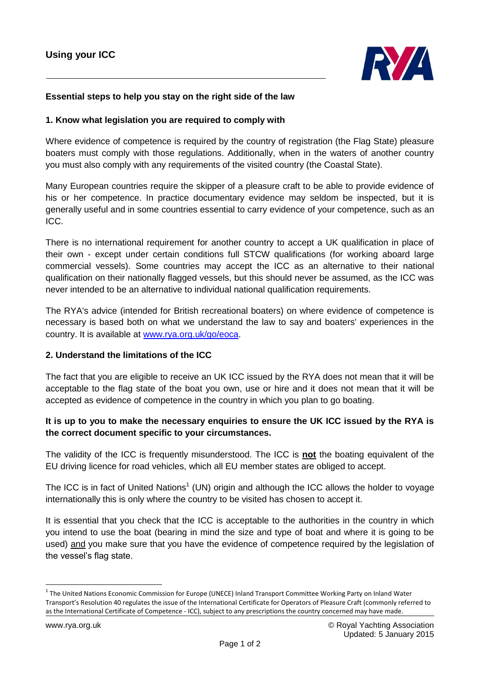

## **Essential steps to help you stay on the right side of the law**

#### **1. Know what legislation you are required to comply with**

Where evidence of competence is required by the country of registration (the Flag State) pleasure boaters must comply with those regulations. Additionally, when in the waters of another country you must also comply with any requirements of the visited country (the Coastal State).

Many European countries require the skipper of a pleasure craft to be able to provide evidence of his or her competence. In practice documentary evidence may seldom be inspected, but it is generally useful and in some countries essential to carry evidence of your competence, such as an ICC.

There is no international requirement for another country to accept a UK qualification in place of their own - except under certain conditions full STCW qualifications (for working aboard large commercial vessels). Some countries may accept the ICC as an alternative to their national qualification on their nationally flagged vessels, but this should never be assumed, as the ICC was never intended to be an alternative to individual national qualification requirements.

The RYA's advice (intended for British recreational boaters) on where evidence of competence is necessary is based both on what we understand the law to say and boaters' experiences in the country. It is available at [www.rya.org.uk/go/eoca.](http://www.rya.org.uk/go/eoca)

### **2. Understand the limitations of the ICC**

The fact that you are eligible to receive an UK ICC issued by the RYA does not mean that it will be acceptable to the flag state of the boat you own, use or hire and it does not mean that it will be accepted as evidence of competence in the country in which you plan to go boating.

# **It is up to you to make the necessary enquiries to ensure the UK ICC issued by the RYA is the correct document specific to your circumstances.**

The validity of the ICC is frequently misunderstood. The ICC is **not** the boating equivalent of the EU driving licence for road vehicles, which all EU member states are obliged to accept.

The ICC is in fact of United Nations<sup>1</sup> (UN) origin and although the ICC allows the holder to voyage internationally this is only where the country to be visited has chosen to accept it.

It is essential that you check that the ICC is acceptable to the authorities in the country in which you intend to use the boat (bearing in mind the size and type of boat and where it is going to be used) and you make sure that you have the evidence of competence required by the legislation of the vessel's flag state.

**.** 

<sup>&</sup>lt;sup>1</sup> The United Nations Economic Commission for Europe (UNECE) Inland Transport Committee Working Party on Inland Water Transport's Resolution 40 regulates the issue of the International Certificate for Operators of Pleasure Craft (commonly referred to as the International Certificate of Competence - ICC), subject to any prescriptions the country concerned may have made.